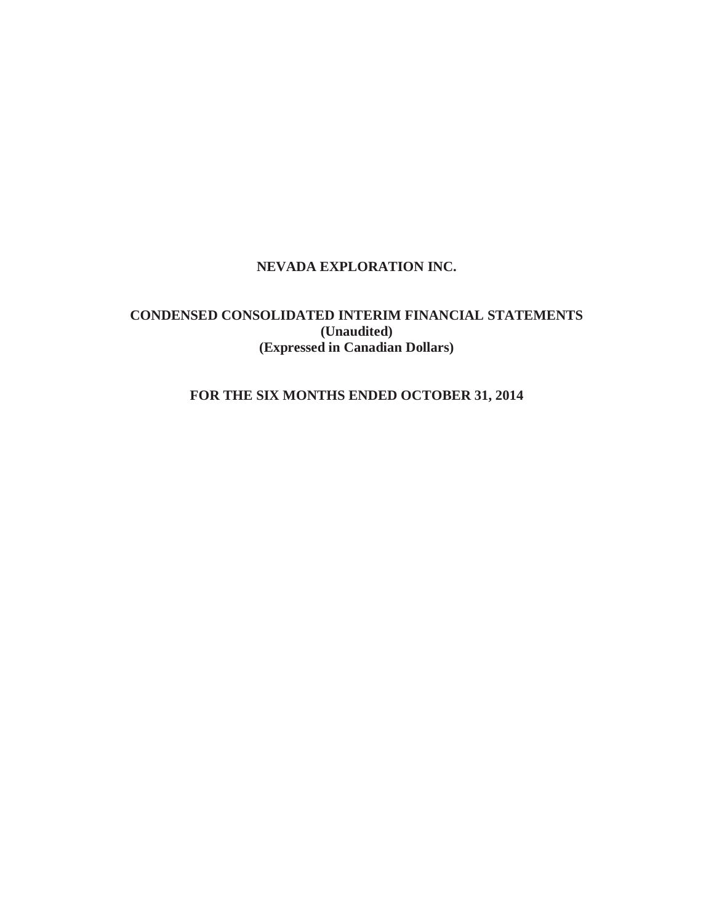# **NEVADA EXPLORATION INC.**

# **CONDENSED CONSOLIDATED INTERIM FINANCIAL STATEMENTS (Unaudited) (Expressed in Canadian Dollars)**

# **FOR THE SIX MONTHS ENDED OCTOBER 31, 2014**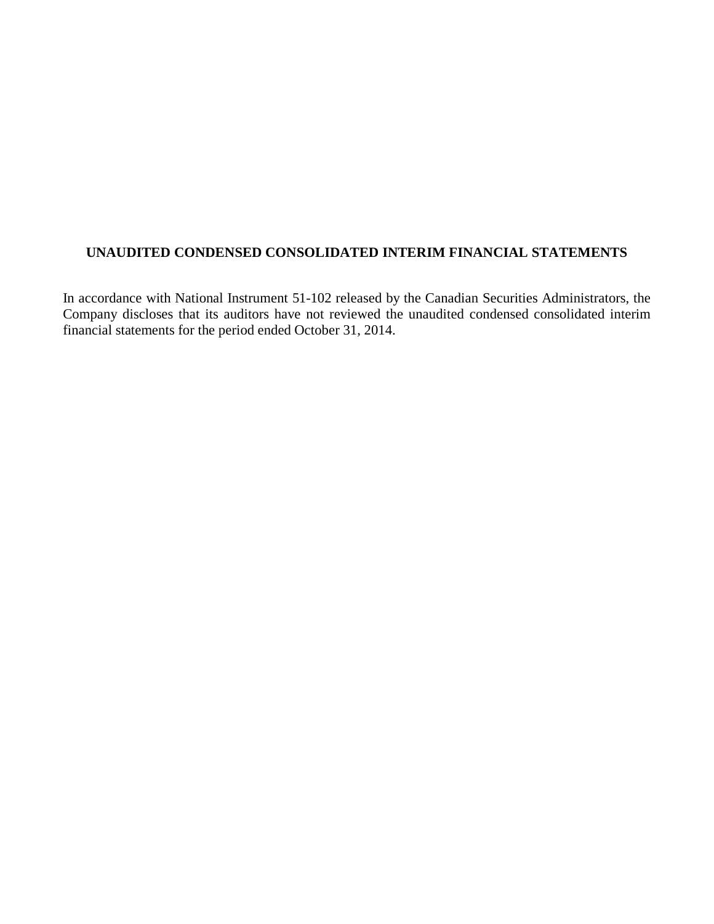# **UNAUDITED CONDENSED CONSOLIDATED INTERIM FINANCIAL STATEMENTS**

In accordance with National Instrument 51-102 released by the Canadian Securities Administrators, the Company discloses that its auditors have not reviewed the unaudited condensed consolidated interim financial statements for the period ended October 31, 2014.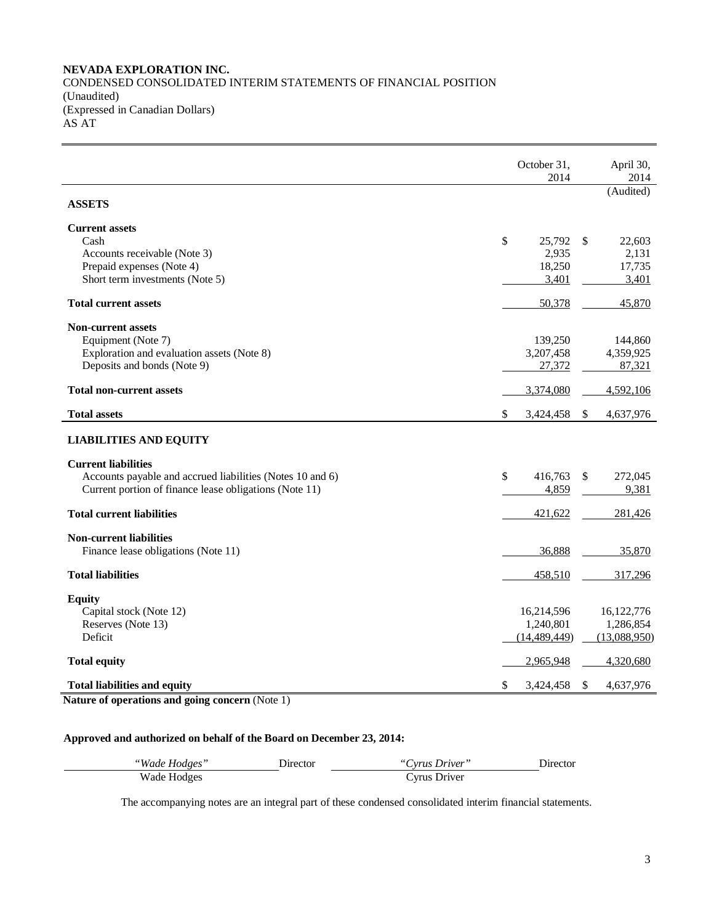## **NEVADA EXPLORATION INC.** CONDENSED CONSOLIDATED INTERIM STATEMENTS OF FINANCIAL POSITION (Unaudited) (Expressed in Canadian Dollars)  $ASAT$

|                                                              | October 31,<br>2014 | April 30,<br>2014                      |
|--------------------------------------------------------------|---------------------|----------------------------------------|
| <b>ASSETS</b>                                                |                     | (Audited)                              |
| <b>Current assets</b>                                        |                     |                                        |
| Cash                                                         | \$<br>25,792        | -\$<br>22,603                          |
| Accounts receivable (Note 3)                                 | 2,935               | 2,131                                  |
| Prepaid expenses (Note 4)<br>Short term investments (Note 5) | 18,250              | 17,735                                 |
|                                                              | 3,401               | 3,401                                  |
| <b>Total current assets</b>                                  | 50,378              | 45,870                                 |
| <b>Non-current assets</b>                                    |                     |                                        |
| Equipment (Note 7)                                           | 139,250             | 144,860                                |
| Exploration and evaluation assets (Note 8)                   | 3,207,458           | 4,359,925                              |
| Deposits and bonds (Note 9)                                  | 27,372              | 87,321                                 |
| <b>Total non-current assets</b>                              | 3,374,080           | 4,592,106                              |
| <b>Total assets</b>                                          | \$<br>3,424,458     | $\boldsymbol{\mathsf{S}}$<br>4,637,976 |
| <b>LIABILITIES AND EQUITY</b>                                |                     |                                        |
| <b>Current liabilities</b>                                   |                     |                                        |
| Accounts payable and accrued liabilities (Notes 10 and 6)    | \$<br>416,763       | 272,045<br>\$                          |
| Current portion of finance lease obligations (Note 11)       | 4,859               | 9,381                                  |
| <b>Total current liabilities</b>                             | 421,622             | 281,426                                |
|                                                              |                     |                                        |
| <b>Non-current liabilities</b>                               | 36,888              |                                        |
| Finance lease obligations (Note 11)                          |                     | 35,870                                 |
| <b>Total liabilities</b>                                     | 458,510             | 317,296                                |
| <b>Equity</b>                                                |                     |                                        |
| Capital stock (Note 12)                                      | 16,214,596          | 16,122,776                             |
| Reserves (Note 13)                                           | 1,240,801           | 1,286,854                              |
| Deficit                                                      | (14, 489, 449)      | (13,088,950)                           |
| <b>Total equity</b>                                          | 2,965,948           | 4,320,680                              |
| <b>Total liabilities and equity</b>                          | \$<br>3,424,458     | $\mathcal{S}$<br>4,637,976             |

**Nature of operations and going concern** (Note 1)

## **Approved and authorized on behalf of the Board on December 23, 2014:**

| "Wade Hodges" | .) trector | "Cyrus Driver" | Director |
|---------------|------------|----------------|----------|
| Wade Hodges   |            | Vrus Driver    |          |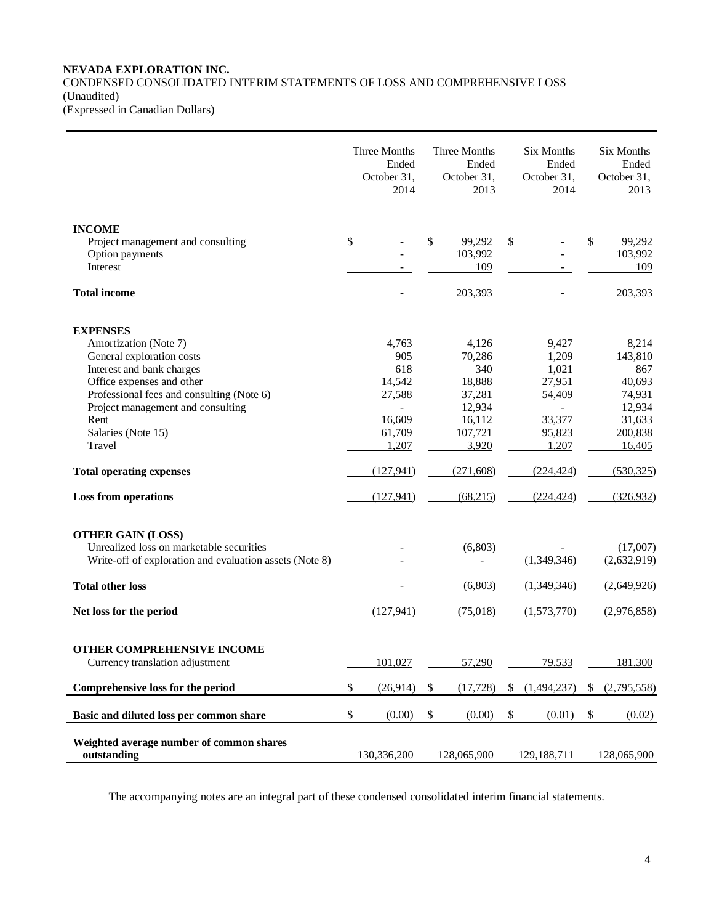## **NEVADA EXPLORATION INC.** CONDENSED CONSOLIDATED INTERIM STATEMENTS OF LOSS AND COMPREHENSIVE LOSS (Unaudited)

(Expressed in Canadian Dollars)

|                                                         | Three Months<br>Ended<br>October 31,<br>2014 | Three Months<br>Ended<br>October 31,<br>2013 | Six Months<br>Ended<br>October 31,<br>2014 | Six Months<br>Ended<br>October 31,<br>2013 |
|---------------------------------------------------------|----------------------------------------------|----------------------------------------------|--------------------------------------------|--------------------------------------------|
|                                                         |                                              |                                              |                                            |                                            |
| <b>INCOME</b>                                           |                                              |                                              |                                            |                                            |
| Project management and consulting                       | \$                                           | \$<br>99,292                                 | \$                                         | \$<br>99,292                               |
| Option payments                                         |                                              | 103,992                                      |                                            | 103,992                                    |
| Interest                                                |                                              | 109                                          |                                            | 109                                        |
| <b>Total income</b>                                     | $\overline{\phantom{a}}$                     | 203,393                                      |                                            | 203,393                                    |
| <b>EXPENSES</b>                                         |                                              |                                              |                                            |                                            |
| Amortization (Note 7)                                   | 4,763                                        | 4,126                                        | 9,427                                      | 8,214                                      |
| General exploration costs                               | 905                                          | 70,286                                       | 1,209                                      | 143,810                                    |
| Interest and bank charges                               | 618                                          | 340                                          | 1,021                                      | 867                                        |
| Office expenses and other                               | 14,542                                       | 18,888                                       | 27,951                                     | 40,693                                     |
| Professional fees and consulting (Note 6)               | 27,588                                       | 37,281                                       | 54,409                                     | 74,931                                     |
| Project management and consulting                       | $\overline{a}$                               | 12,934                                       | $\overline{a}$                             | 12,934                                     |
| Rent                                                    | 16,609                                       | 16,112                                       | 33,377                                     | 31,633                                     |
| Salaries (Note 15)                                      | 61,709                                       | 107,721                                      | 95,823                                     | 200,838                                    |
| Travel                                                  | 1,207                                        | 3,920                                        | 1,207                                      | 16,405                                     |
|                                                         |                                              |                                              |                                            |                                            |
| <b>Total operating expenses</b>                         | (127, 941)                                   | (271,608)                                    | (224, 424)                                 | (530, 325)                                 |
| <b>Loss from operations</b>                             | (127, 941)                                   | (68,215)                                     | (224, 424)                                 | (326, 932)                                 |
| <b>OTHER GAIN (LOSS)</b>                                |                                              |                                              |                                            |                                            |
| Unrealized loss on marketable securities                |                                              | (6,803)                                      |                                            | (17,007)                                   |
| Write-off of exploration and evaluation assets (Note 8) |                                              |                                              | (1,349,346)                                | (2,632,919)                                |
| <b>Total other loss</b>                                 |                                              | (6,803)                                      | (1,349,346)                                | (2,649,926)                                |
| Net loss for the period                                 | (127, 941)                                   | (75,018)                                     | (1,573,770)                                | (2,976,858)                                |
|                                                         |                                              |                                              |                                            |                                            |
| OTHER COMPREHENSIVE INCOME                              |                                              |                                              |                                            |                                            |
| Currency translation adjustment                         | 101,027                                      | 57,290                                       | 79,533                                     | 181,300                                    |
|                                                         |                                              |                                              |                                            |                                            |
| Comprehensive loss for the period                       | \$<br>(26,914)                               | \$<br>(17, 728)                              | \$<br>(1,494,237)                          | \$<br>(2,795,558)                          |
| Basic and diluted loss per common share                 | \$<br>(0.00)                                 | \$<br>(0.00)                                 | \$<br>(0.01)                               | \$<br>(0.02)                               |
| Weighted average number of common shares                |                                              |                                              |                                            |                                            |
| outstanding                                             | 130,336,200                                  | 128,065,900                                  | 129,188,711                                | 128,065,900                                |
|                                                         |                                              |                                              |                                            |                                            |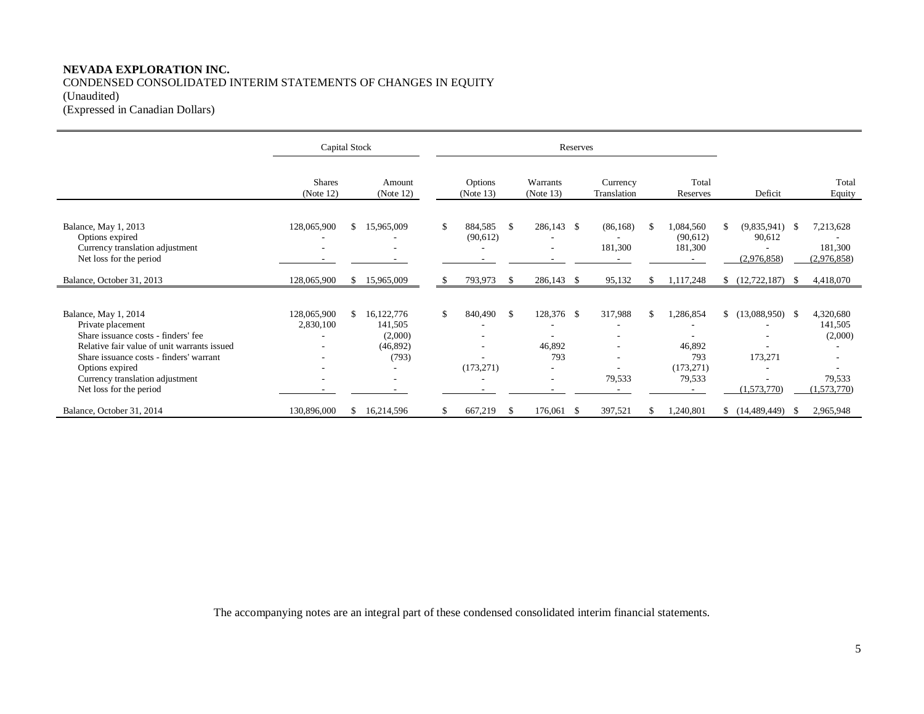## **NEVADA EXPLORATION INC.** CONDENSED CONSOLIDATED INTERIM STATEMENTS OF CHANGES IN EQUITY (Unaudited) (Expressed in Canadian Dollars)

|                                                                                                                                                                                                                                                             | Capital Stock                 |               |                                                       | Reserves |                       |    |                                                              |     |                                               |               |                                                    |     |                                                  |      |                                                          |
|-------------------------------------------------------------------------------------------------------------------------------------------------------------------------------------------------------------------------------------------------------------|-------------------------------|---------------|-------------------------------------------------------|----------|-----------------------|----|--------------------------------------------------------------|-----|-----------------------------------------------|---------------|----------------------------------------------------|-----|--------------------------------------------------|------|----------------------------------------------------------|
|                                                                                                                                                                                                                                                             | <b>Shares</b><br>(Note 12)    |               | Amount<br>(Note 12)                                   |          | Options<br>(Note 13)  |    | Warrants<br>(Note $13$ )                                     |     | Currency<br>Translation                       |               | Total<br>Reserves                                  |     | Deficit                                          |      | Total<br>Equity                                          |
| Balance, May 1, 2013<br>Options expired<br>Currency translation adjustment<br>Net loss for the period                                                                                                                                                       | 128,065,900<br>۰              | \$            | 15,965,009                                            | \$       | 884,585<br>(90, 612)  | -S | 286,143 \$<br>$\overline{\phantom{a}}$                       |     | (86, 168)<br>181,300                          | \$            | 1,084,560<br>(90,612)<br>181,300                   | S.  | $(9,835,941)$ \$<br>90,612<br>(2,976,858)        |      | 7,213,628<br>181,300<br>(2,976,858)                      |
| Balance, October 31, 2013                                                                                                                                                                                                                                   | 128,065,900                   | S.            | 15,965,009                                            | \$.      | 793,973               | -S | 286,143                                                      | -\$ | 95,132                                        | <sup>\$</sup> | 1,117,248                                          |     | (12, 722, 187)                                   | - \$ | 4,418,070                                                |
| Balance, May 1, 2014<br>Private placement<br>Share issuance costs - finders' fee<br>Relative fair value of unit warrants issued<br>Share issuance costs - finders' warrant<br>Options expired<br>Currency translation adjustment<br>Net loss for the period | 128,065,900<br>2,830,100<br>٠ | $\mathbb{S}$  | 16,122,776<br>141,505<br>(2,000)<br>(46,892)<br>(793) | \$       | 840,490<br>(173, 271) | \$ | 128,376 \$<br>46,892<br>793<br>$\overline{\phantom{a}}$<br>٠ |     | 317,988<br>$\overline{\phantom{a}}$<br>79,533 | <sup>\$</sup> | 1,286,854<br>46,892<br>793<br>(173, 271)<br>79,533 | \$. | $(13,088,950)$ \$<br>173,271<br>۰<br>(1,573,770) |      | 4,320,680<br>141,505<br>(2,000)<br>79,533<br>(1,573,770) |
| Balance, October 31, 2014                                                                                                                                                                                                                                   | 130,896,000                   | <sup>\$</sup> | 16,214,596                                            | \$       | 667,219               | \$ | 176,061 \$                                                   |     | 397,521                                       |               | 1,240,801                                          |     | $$(14,489,449)$ \\$                              |      | 2,965,948                                                |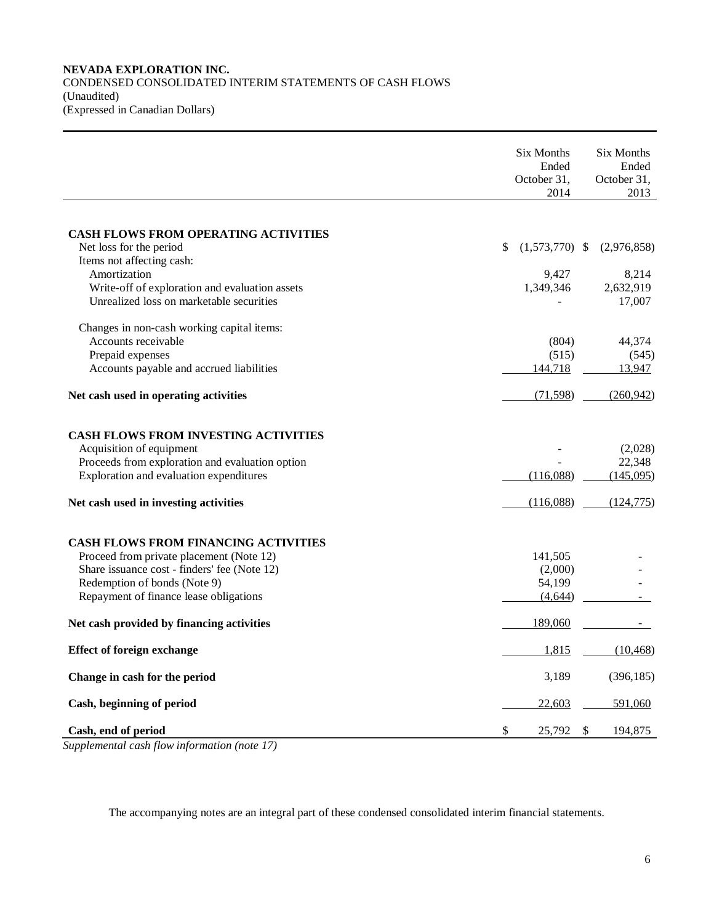## **NEVADA EXPLORATION INC.** CONDENSED CONSOLIDATED INTERIM STATEMENTS OF CASH FLOWS (Unaudited) (Expressed in Canadian Dollars)

|                                                 | Six Months<br>Ended<br>October 31,<br>2014 | Six Months<br>Ended<br>October 31,<br>2013 |
|-------------------------------------------------|--------------------------------------------|--------------------------------------------|
|                                                 |                                            |                                            |
| <b>CASH FLOWS FROM OPERATING ACTIVITIES</b>     |                                            |                                            |
| Net loss for the period                         | \$<br>$(1,573,770)$ \$                     | (2,976,858)                                |
| Items not affecting cash:                       |                                            |                                            |
| Amortization                                    | 9,427                                      | 8,214                                      |
| Write-off of exploration and evaluation assets  | 1,349,346                                  | 2,632,919                                  |
| Unrealized loss on marketable securities        |                                            | 17,007                                     |
| Changes in non-cash working capital items:      |                                            |                                            |
| Accounts receivable                             | (804)                                      | 44,374                                     |
| Prepaid expenses                                | (515)                                      | (545)                                      |
| Accounts payable and accrued liabilities        | 144,718                                    | 13,947                                     |
| Net cash used in operating activities           | (71, 598)                                  | (260, 942)                                 |
| <b>CASH FLOWS FROM INVESTING ACTIVITIES</b>     |                                            |                                            |
| Acquisition of equipment                        |                                            | (2,028)                                    |
| Proceeds from exploration and evaluation option |                                            | 22,348                                     |
| Exploration and evaluation expenditures         | (116,088)                                  | (145,095)                                  |
| Net cash used in investing activities           | (116,088)                                  | (124, 775)                                 |
| <b>CASH FLOWS FROM FINANCING ACTIVITIES</b>     |                                            |                                            |
| Proceed from private placement (Note 12)        | 141,505                                    |                                            |
| Share issuance cost - finders' fee (Note 12)    | (2,000)                                    |                                            |
| Redemption of bonds (Note 9)                    | 54,199                                     |                                            |
| Repayment of finance lease obligations          | (4, 644)                                   |                                            |
| Net cash provided by financing activities       | 189,060                                    |                                            |
| <b>Effect of foreign exchange</b>               | 1,815                                      | (10, 468)                                  |
| Change in cash for the period                   | 3,189                                      | (396, 185)                                 |
| Cash, beginning of period                       | 22,603                                     | 591,060                                    |
| Cash, end of period                             | \$<br>25,792                               | \$<br>194,875                              |

*Supplemental cash flow information (note 17)*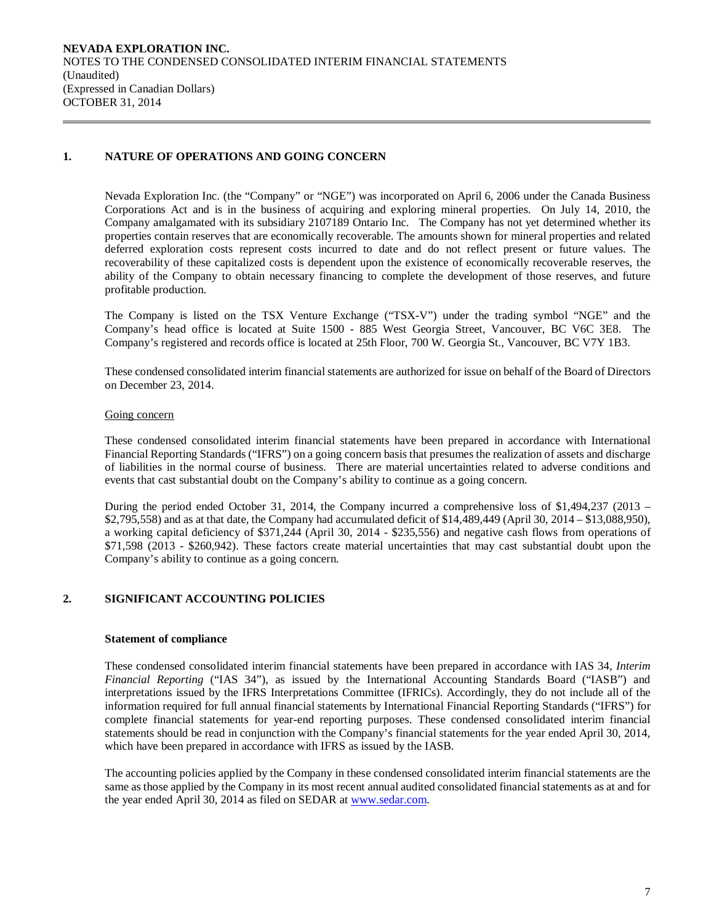## **1. NATURE OF OPERATIONS AND GOING CONCERN**

Nevada Exploration Inc. (the "Company" or "NGE") was incorporated on April 6, 2006 under the Canada Business Corporations Act and is in the business of acquiring and exploring mineral properties. On July 14, 2010, the Company amalgamated with its subsidiary 2107189 Ontario Inc. The Company has not yet determined whether its properties contain reserves that are economically recoverable. The amounts shown for mineral properties and related deferred exploration costs represent costs incurred to date and do not reflect present or future values. The recoverability of these capitalized costs is dependent upon the existence of economically recoverable reserves, the ability of the Company to obtain necessary financing to complete the development of those reserves, and future profitable production.

The Company is listed on the TSX Venture Exchange ("TSX-V") under the trading symbol "NGE" and the Company's head office is located at Suite 1500 - 885 West Georgia Street, Vancouver, BC V6C 3E8. The Company's registered and records office is located at 25th Floor, 700 W. Georgia St., Vancouver, BC V7Y 1B3.

These condensed consolidated interim financial statements are authorized for issue on behalf of the Board of Directors on December 23, 2014.

## Going concern

These condensed consolidated interim financial statements have been prepared in accordance with International Financial Reporting Standards ("IFRS") on a going concern basis that presumes the realization of assets and discharge of liabilities in the normal course of business. There are material uncertainties related to adverse conditions and events that cast substantial doubt on the Company's ability to continue as a going concern.

During the period ended October 31, 2014, the Company incurred a comprehensive loss of \$1,494,237 (2013 – \$2,795,558) and as at that date, the Company had accumulated deficit of \$14,489,449 (April 30, 2014 – \$13,088,950), a working capital deficiency of \$371,244 (April 30, 2014 - \$235,556) and negative cash flows from operations of \$71,598 (2013 - \$260,942). These factors create material uncertainties that may cast substantial doubt upon the Company's ability to continue as a going concern.

## **2. SIGNIFICANT ACCOUNTING POLICIES**

#### **Statement of compliance**

These condensed consolidated interim financial statements have been prepared in accordance with IAS 34, *Interim Financial Reporting* ("IAS 34"), as issued by the International Accounting Standards Board ("IASB") and interpretations issued by the IFRS Interpretations Committee (IFRICs). Accordingly, they do not include all of the information required for full annual financial statements by International Financial Reporting Standards ("IFRS") for complete financial statements for year-end reporting purposes. These condensed consolidated interim financial statements should be read in conjunction with the Company's financial statements for the year ended April 30, 2014, which have been prepared in accordance with IFRS as issued by the IASB.

The accounting policies applied by the Company in these condensed consolidated interim financial statements are the same as those applied by the Company in its most recent annual audited consolidated financial statements as at and for the year ended April 30, 2014 as filed on SEDAR at [www.sedar.com.](http://www.sedar.com/)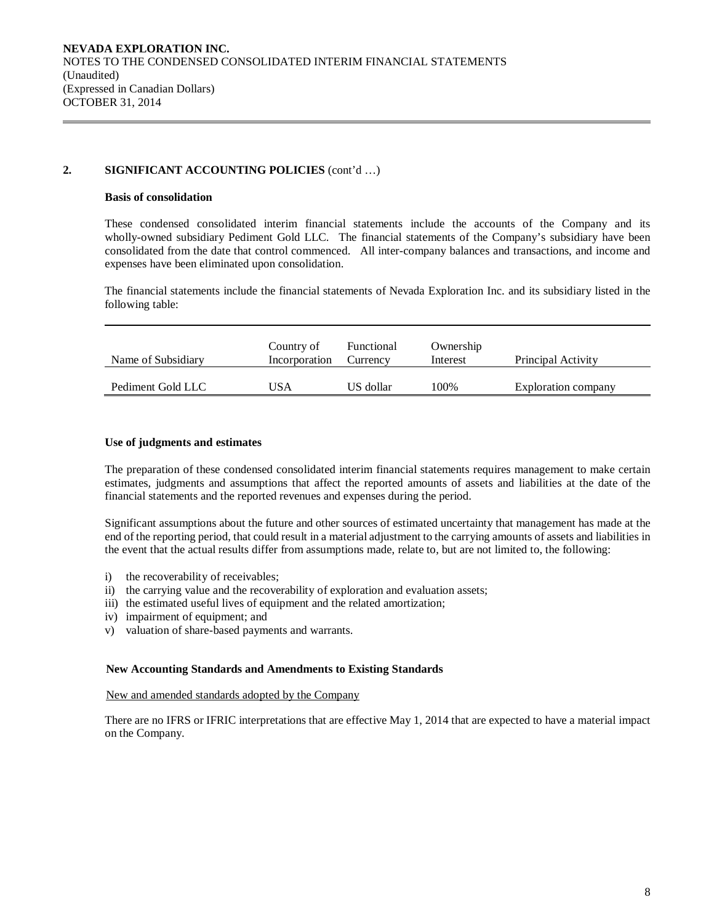## **2. SIGNIFICANT ACCOUNTING POLICIES** (cont'd …)

#### **Basis of consolidation**

These condensed consolidated interim financial statements include the accounts of the Company and its wholly-owned subsidiary Pediment Gold LLC. The financial statements of the Company's subsidiary have been consolidated from the date that control commenced. All inter-company balances and transactions, and income and expenses have been eliminated upon consolidation.

The financial statements include the financial statements of Nevada Exploration Inc. and its subsidiary listed in the following table:

| Name of Subsidiary | Country of<br>Incorporation | Functional<br>Currency | Ownership<br>Interest | Principal Activity  |
|--------------------|-----------------------------|------------------------|-----------------------|---------------------|
| Pediment Gold LLC  | USA                         | US dollar              | 100%                  | Exploration company |

## **Use of judgments and estimates**

The preparation of these condensed consolidated interim financial statements requires management to make certain estimates, judgments and assumptions that affect the reported amounts of assets and liabilities at the date of the financial statements and the reported revenues and expenses during the period.

Significant assumptions about the future and other sources of estimated uncertainty that management has made at the end of the reporting period, that could result in a material adjustment to the carrying amounts of assets and liabilities in the event that the actual results differ from assumptions made, relate to, but are not limited to, the following:

- i) the recoverability of receivables;
- ii) the carrying value and the recoverability of exploration and evaluation assets;
- iii) the estimated useful lives of equipment and the related amortization;
- iv) impairment of equipment; and
- v) valuation of share-based payments and warrants.

#### **New Accounting Standards and Amendments to Existing Standards**

New and amended standards adopted by the Company

There are no IFRS or IFRIC interpretations that are effective May 1, 2014 that are expected to have a material impact on the Company.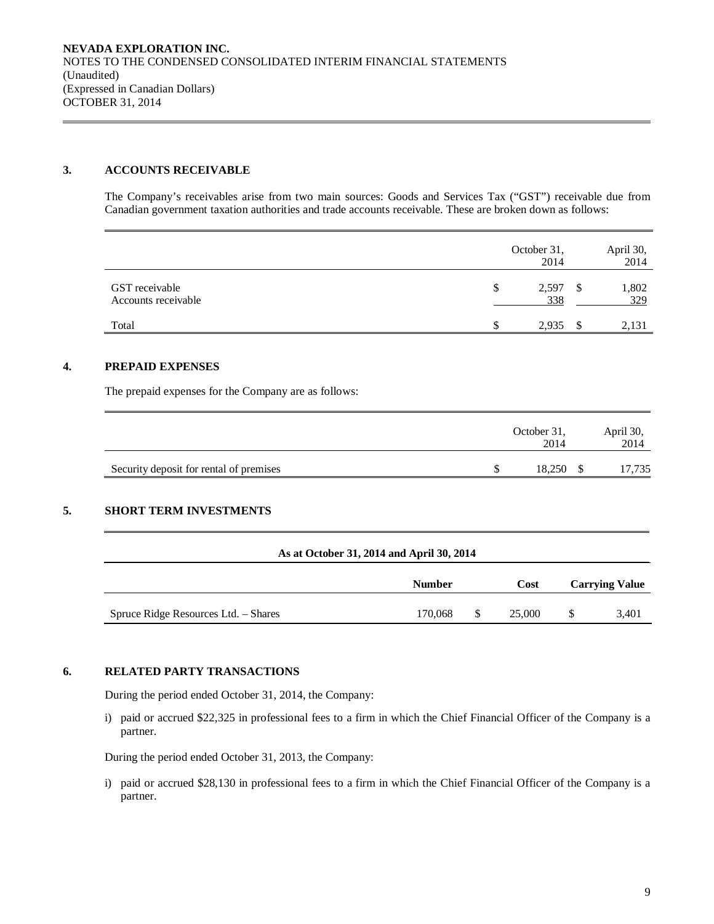## **3. ACCOUNTS RECEIVABLE**

The Company's receivables arise from two main sources: Goods and Services Tax ("GST") receivable due from Canadian government taxation authorities and trade accounts receivable. These are broken down as follows:

|                                       | October 31,<br>2014 | April 30,<br>2014 |
|---------------------------------------|---------------------|-------------------|
| GST receivable<br>Accounts receivable | \$<br>2,597<br>338  | 1,802<br>329      |
| Total                                 | 2,935               | 2,131             |

## **4. PREPAID EXPENSES**

The prepaid expenses for the Company are as follows:

|                                         | October 31,<br>2014 | April 30,<br>2014 |
|-----------------------------------------|---------------------|-------------------|
| Security deposit for rental of premises | 18.250              | 17,735            |

## **5. SHORT TERM INVESTMENTS**

|                                      |               | As at October 31, 2014 and April 30, 2014 |             |  |                       |  |  |  |  |  |  |  |  |
|--------------------------------------|---------------|-------------------------------------------|-------------|--|-----------------------|--|--|--|--|--|--|--|--|
|                                      | <b>Number</b> |                                           | <b>Cost</b> |  | <b>Carrying Value</b> |  |  |  |  |  |  |  |  |
| Spruce Ridge Resources Ltd. - Shares | 170,068       |                                           | 25,000      |  | 3,401                 |  |  |  |  |  |  |  |  |

## **6. RELATED PARTY TRANSACTIONS**

During the period ended October 31, 2014, the Company:

i) paid or accrued \$22,325 in professional fees to a firm in which the Chief Financial Officer of the Company is a partner.

During the period ended October 31, 2013, the Company:

i) paid or accrued \$28,130 in professional fees to a firm in which the Chief Financial Officer of the Company is a partner.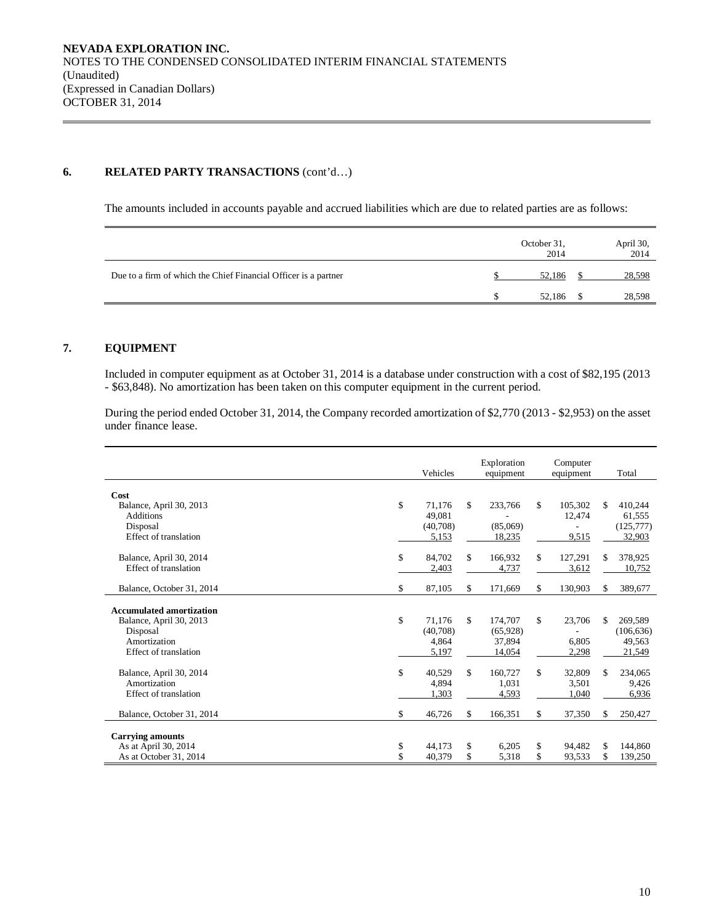## **6. RELATED PARTY TRANSACTIONS** (cont'd…)

The amounts included in accounts payable and accrued liabilities which are due to related parties are as follows:

|                                                                 | October 31,<br>2014 | April 30,<br>2014 |
|-----------------------------------------------------------------|---------------------|-------------------|
| Due to a firm of which the Chief Financial Officer is a partner | 52.186              | 28,598            |
|                                                                 | 52,186              | 28,598            |

## **7. EQUIPMENT**

Included in computer equipment as at October 31, 2014 is a database under construction with a cost of \$82,195 (2013 - \$63,848). No amortization has been taken on this computer equipment in the current period.

During the period ended October 31, 2014, the Company recorded amortization of \$2,770 (2013 - \$2,953) on the asset under finance lease.

|                                   | Vehicles     | Exploration<br>equipment | Computer<br>equipment |     | Total      |
|-----------------------------------|--------------|--------------------------|-----------------------|-----|------------|
| Cost                              |              |                          |                       |     |            |
| Balance, April 30, 2013           | \$<br>71,176 | \$<br>233,766            | \$<br>105,302         | \$  | 410,244    |
| <b>Additions</b>                  | 49.081       |                          | 12,474                |     | 61,555     |
| Disposal<br>Effect of translation | (40,708)     | (85,069)                 |                       |     | (125,777)  |
|                                   | 5,153        | 18,235                   | 9,515                 |     | 32,903     |
| Balance, April 30, 2014           | \$<br>84,702 | \$<br>166,932            | \$<br>127,291         | \$  | 378,925    |
| Effect of translation             | 2,403        | 4,737                    | 3,612                 |     | 10,752     |
|                                   |              |                          |                       |     |            |
| Balance, October 31, 2014         | \$<br>87,105 | \$<br>171,669            | \$<br>130,903         | \$  | 389,677    |
| <b>Accumulated amortization</b>   |              |                          |                       |     |            |
| Balance, April 30, 2013           | \$<br>71,176 | \$<br>174,707            | \$<br>23,706          | \$. | 269,589    |
| Disposal                          | (40,708)     | (65, 928)                |                       |     | (106, 636) |
| Amortization                      | 4,864        | 37.894                   | 6,805                 |     | 49,563     |
| Effect of translation             | 5,197        | 14,054                   | 2,298                 |     | 21,549     |
|                                   |              |                          |                       |     |            |
| Balance, April 30, 2014           | \$<br>40,529 | \$<br>160,727            | \$<br>32.809          | \$  | 234,065    |
| Amortization                      | 4,894        | 1,031                    | 3,501                 |     | 9,426      |
| Effect of translation             | .303         | 4,593                    | .040                  |     | 6,936      |
| Balance, October 31, 2014         | \$<br>46,726 | \$<br>166,351            | \$<br>37,350          | \$. | 250,427    |
| <b>Carrying amounts</b>           |              |                          |                       |     |            |
| As at April 30, 2014              | \$<br>44,173 | \$<br>6,205              | \$<br>94.482          | \$  | 144,860    |
| As at October 31, 2014            | \$<br>40,379 | \$<br>5,318              | \$<br>93,533          | \$  | 139,250    |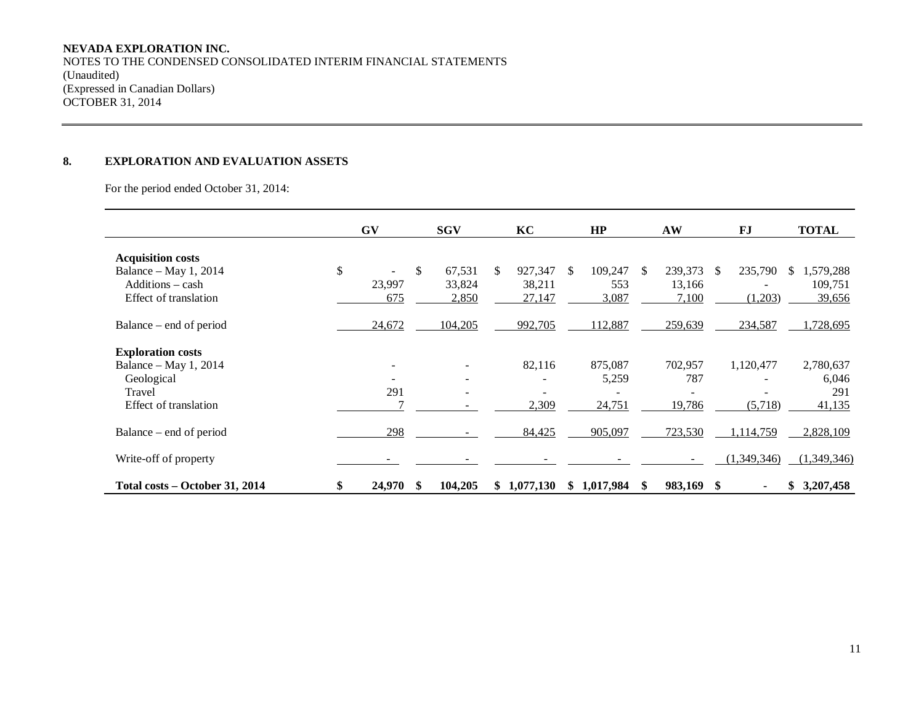## **NEVADA EXPLORATION INC.**

NOTES TO THE CONDENSED CONSOLIDATED INTERIM FINANCIAL STATEMENTS (Unaudited) (Expressed in Canadian Dollars) OCTOBER 31, 2014

## **8. EXPLORATION AND EVALUATION ASSETS**

For the period ended October 31, 2014:

|                                | <b>GV</b>                      |     | <b>SGV</b>               |     | KC        |               | HP          |     | AW      |     | <b>FJ</b>   | <b>TOTAL</b>    |
|--------------------------------|--------------------------------|-----|--------------------------|-----|-----------|---------------|-------------|-----|---------|-----|-------------|-----------------|
| <b>Acquisition costs</b>       |                                |     |                          |     |           |               |             |     |         |     |             |                 |
| Balance – May 1, 2014          | \$<br>$\overline{\phantom{0}}$ | \$  | 67,531                   | \$. | 927,347   | <sup>\$</sup> | 109,247     | - S | 239,373 | -SS | 235,790     | 1,579,288<br>S. |
| Additions - cash               | 23,997                         |     | 33,824                   |     | 38,211    |               | 553         |     | 13,166  |     |             | 109,751         |
| Effect of translation          | 675                            |     | 2,850                    |     | 27,147    |               | 3,087       |     | 7,100   |     | (1,203)     | 39,656          |
| Balance – end of period        | 24,672                         |     | 104,205                  |     | 992,705   |               | 112,887     |     | 259,639 |     | 234,587     | 1,728,695       |
| <b>Exploration costs</b>       |                                |     |                          |     |           |               |             |     |         |     |             |                 |
| Balance – May 1, 2014          |                                |     |                          |     | 82,116    |               | 875,087     |     | 702,957 |     | 1,120,477   | 2,780,637       |
| Geological                     | $\qquad \qquad \blacksquare$   |     | ٠.                       |     |           |               | 5,259       |     | 787     |     |             | 6,046           |
| Travel                         | 291                            |     | $\overline{\phantom{a}}$ |     |           |               |             |     |         |     |             | 291             |
| Effect of translation          |                                |     |                          |     | 2,309     |               | 24,751      |     | 19,786  |     | (5,718)     | 41,135          |
| Balance – end of period        | 298                            |     |                          |     | 84,425    |               | 905,097     |     | 723,530 |     | 1,114,759   | 2,828,109       |
| Write-off of property          |                                |     |                          |     |           |               |             |     |         |     | (1,349,346) | (1,349,346)     |
| Total costs – October 31, 2014 | 24,970                         | -SS | 104,205                  | SS. | 1,077,130 |               | \$1,017,984 |     | 983,169 | S   |             | 3,207,458<br>\$ |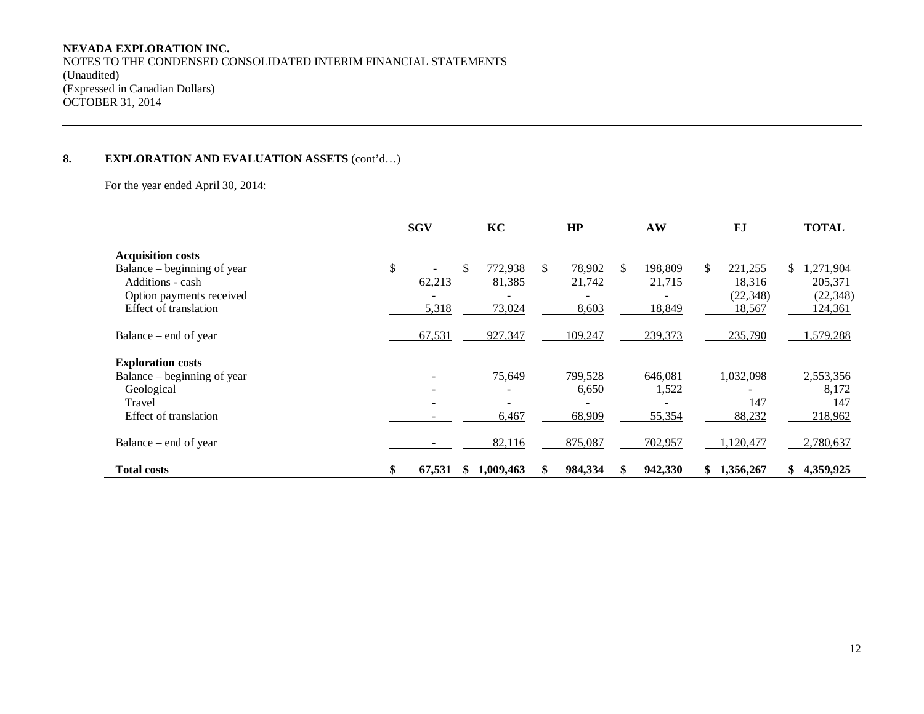## **NEVADA EXPLORATION INC.**

NOTES TO THE CONDENSED CONSOLIDATED INTERIM FINANCIAL STATEMENTS (Unaudited) (Expressed in Canadian Dollars) OCTOBER 31, 2014

## **8. EXPLORATION AND EVALUATION ASSETS** (cont'd…)

For the year ended April 30, 2014:

|                                                                                                          | <b>SGV</b>               | KC                  | HP                              | AW                         | F.I                                   | <b>TOTAL</b>                             |
|----------------------------------------------------------------------------------------------------------|--------------------------|---------------------|---------------------------------|----------------------------|---------------------------------------|------------------------------------------|
| <b>Acquisition costs</b><br>Balance – beginning of year<br>Additions - cash<br>Option payments received  | \$<br>\$<br>62,213       | 772.938<br>81,385   | \$<br>78.902<br>21,742          | 198,809<br>S.<br>21,715    | \$.<br>221,255<br>18,316<br>(22, 348) | \$.<br>1,271,904<br>205,371<br>(22, 348) |
| Effect of translation<br>Balance – end of year                                                           | 5,318<br>67,531          | 73,024<br>927,347   | 8,603<br>109,247                | 18,849<br>239,373          | 18,567<br>235,790                     | 124,361<br>1,579,288                     |
| <b>Exploration costs</b><br>Balance – beginning of year<br>Geological<br>Travel<br>Effect of translation | $\overline{\phantom{0}}$ | 75,649<br>6,467     | 799,528<br>6,650<br>۰<br>68,909 | 646,081<br>1,522<br>55,354 | 1,032,098<br>147<br>88,232            | 2,553,356<br>8,172<br>147<br>218,962     |
| Balance – end of year<br><b>Total costs</b>                                                              | \$<br>67,531<br>S        | 82,116<br>1,009,463 | 875,087<br>984,334              | 702,957<br>942,330         | 1,120,477<br>1,356,267<br>S.          | 2,780,637<br>4,359,925<br>\$             |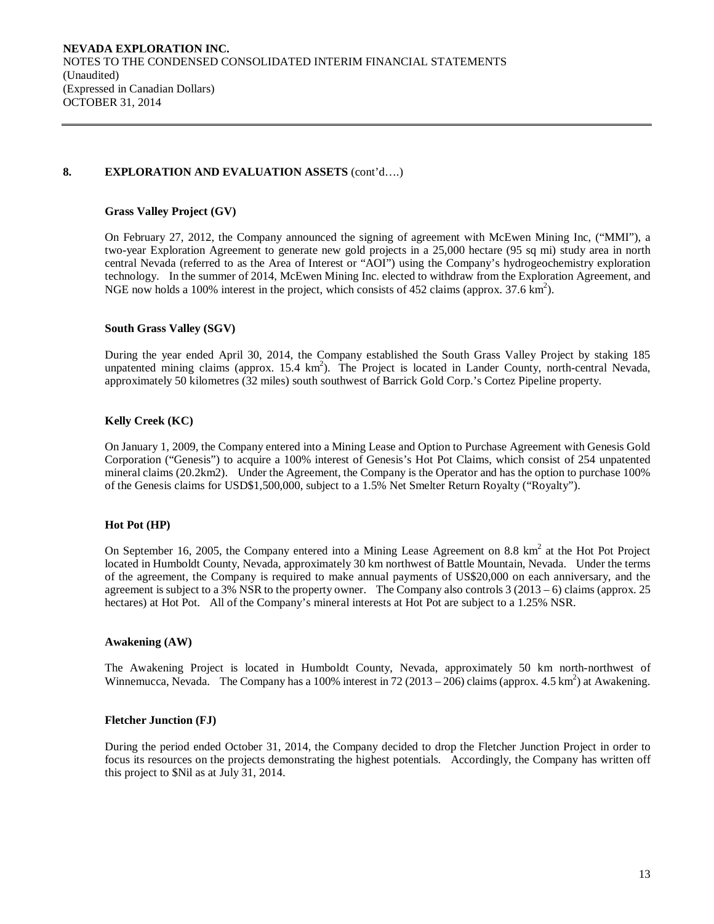## **8. EXPLORATION AND EVALUATION ASSETS** (cont'd….)

#### **Grass Valley Project (GV)**

On February 27, 2012, the Company announced the signing of agreement with McEwen Mining Inc, ("MMI"), a two-year Exploration Agreement to generate new gold projects in a 25,000 hectare (95 sq mi) study area in north central Nevada (referred to as the Area of Interest or "AOI") using the Company's hydrogeochemistry exploration technology. In the summer of 2014, McEwen Mining Inc. elected to withdraw from the Exploration Agreement, and NGE now holds a 100% interest in the project, which consists of 452 claims (approx.  $37.6 \text{ km}^2$ ).

#### **South Grass Valley (SGV)**

During the year ended April 30, 2014, the Company established the South Grass Valley Project by staking 185 unpatented mining claims (approx. 15.4 km<sup>2</sup>). The Project is located in Lander County, north-central Nevada, approximately 50 kilometres (32 miles) south southwest of Barrick Gold Corp.'s Cortez Pipeline property.

## **Kelly Creek (KC)**

On January 1, 2009, the Company entered into a Mining Lease and Option to Purchase Agreement with Genesis Gold Corporation ("Genesis") to acquire a 100% interest of Genesis's Hot Pot Claims, which consist of 254 unpatented mineral claims (20.2km2). Under the Agreement, the Company is the Operator and has the option to purchase 100% of the Genesis claims for USD\$1,500,000, subject to a 1.5% Net Smelter Return Royalty ("Royalty").

#### **Hot Pot (HP)**

On September 16, 2005, the Company entered into a Mining Lease Agreement on 8.8  $km<sup>2</sup>$  at the Hot Project located in Humboldt County, Nevada, approximately 30 km northwest of Battle Mountain, Nevada. Under the terms of the agreement, the Company is required to make annual payments of US\$20,000 on each anniversary, and the agreement is subject to a 3% NSR to the property owner. The Company also controls  $3(2013-6)$  claims (approx. 25 hectares) at Hot Pot. All of the Company's mineral interests at Hot Pot are subject to a 1.25% NSR.

#### **Awakening (AW)**

The Awakening Project is located in Humboldt County, Nevada, approximately 50 km north-northwest of Winnemucca, Nevada. The Company has a 100% interest in 72 (2013 – 206) claims (approx. 4.5 km<sup>2</sup>) at Awakening.

#### **Fletcher Junction (FJ)**

During the period ended October 31, 2014, the Company decided to drop the Fletcher Junction Project in order to focus its resources on the projects demonstrating the highest potentials. Accordingly, the Company has written off this project to \$Nil as at July 31, 2014.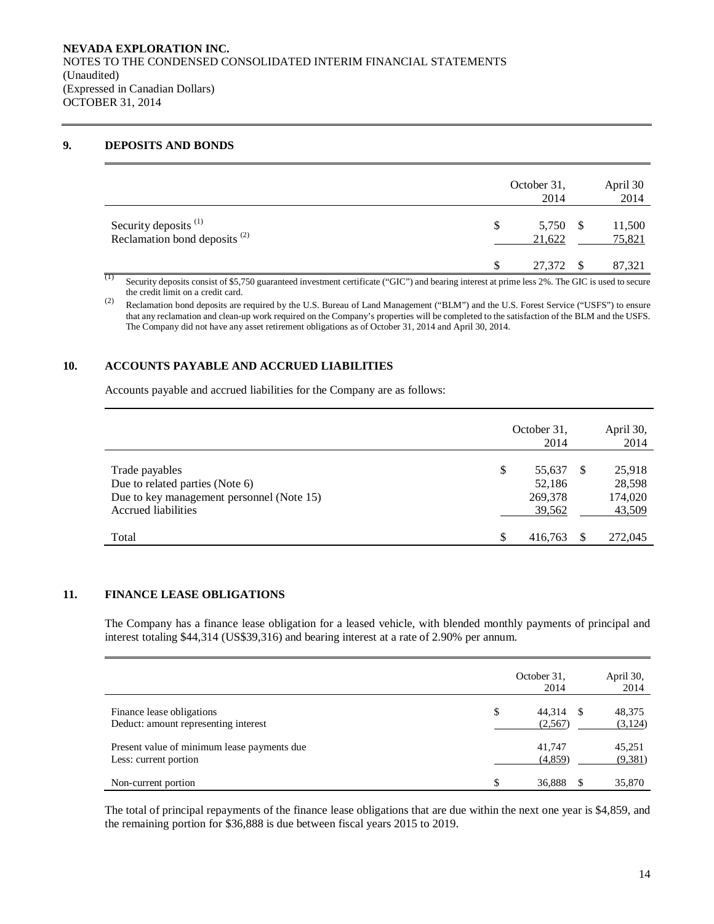## **9. DEPOSITS AND BONDS**

|                                                                              | October 31,<br>2014      | April 30<br>2014 |
|------------------------------------------------------------------------------|--------------------------|------------------|
| Security deposits <sup>(1)</sup><br>Reclamation bond deposits <sup>(2)</sup> | 5,750 \$<br>\$<br>21,622 | 11,500<br>75,821 |
|                                                                              | 27,372                   | 87,321           |

(1) Security deposits consist of \$5,750 guaranteed investment certificate ("GIC") and bearing interest at prime less 2%. The GIC is used to secure the credit limit on a credit card.

(2) Reclamation bond deposits are required by the U.S. Bureau of Land Management ("BLM") and the U.S. Forest Service ("USFS") to ensure that any reclamation and clean-up work required on the Company's properties will be completed to the satisfaction of the BLM and the USFS. The Company did not have any asset retirement obligations as of October 31, 2014 and April 30, 2014.

## **10. ACCOUNTS PAYABLE AND ACCRUED LIABILITIES**

Accounts payable and accrued liabilities for the Company are as follows:

|                                                                                                                       |               | October 31,<br>2014                   |     |                                       |  |  |
|-----------------------------------------------------------------------------------------------------------------------|---------------|---------------------------------------|-----|---------------------------------------|--|--|
| Trade payables<br>Due to related parties (Note 6)<br>Due to key management personnel (Note 15)<br>Accrued liabilities | \$            | 55,637<br>52,186<br>269,378<br>39,562 | \$. | 25,918<br>28,598<br>174,020<br>43,509 |  |  |
| Total                                                                                                                 | <sup>\$</sup> | 416,763                               |     | 272,045                               |  |  |

## **11. FINANCE LEASE OBLIGATIONS**

The Company has a finance lease obligation for a leased vehicle, with blended monthly payments of principal and interest totaling \$44,314 (US\$39,316) and bearing interest at a rate of 2.90% per annum.

|                                                                      | October 31,<br>2014     |     | April 30,<br>2014  |
|----------------------------------------------------------------------|-------------------------|-----|--------------------|
| Finance lease obligations<br>Deduct: amount representing interest    | \$<br>44,314<br>(2,567) | -86 | 48,375<br>(3,124)  |
| Present value of minimum lease payments due<br>Less: current portion | 41,747<br>(4,859)       |     | 45,251<br>(9, 381) |
| Non-current portion                                                  | \$<br>36,888            |     | 35,870             |

The total of principal repayments of the finance lease obligations that are due within the next one year is \$4,859, and the remaining portion for \$36,888 is due between fiscal years 2015 to 2019.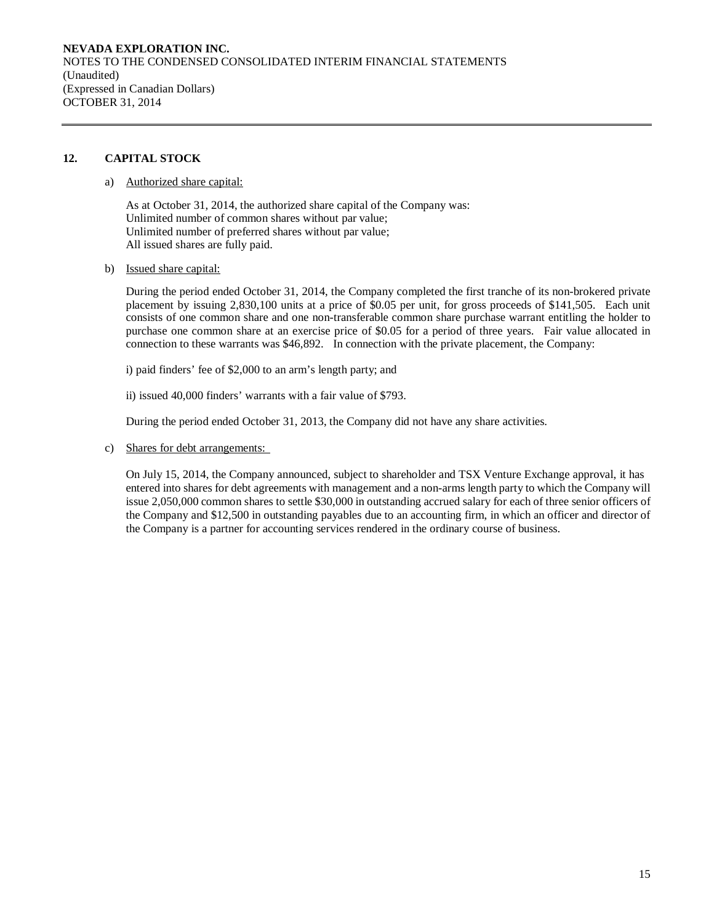**NEVADA EXPLORATION INC.**  NOTES TO THE CONDENSED CONSOLIDATED INTERIM FINANCIAL STATEMENTS (Unaudited) (Expressed in Canadian Dollars) OCTOBER 31, 2014

## **12. CAPITAL STOCK**

## a) Authorized share capital:

As at October 31, 2014, the authorized share capital of the Company was: Unlimited number of common shares without par value; Unlimited number of preferred shares without par value; All issued shares are fully paid.

b) Issued share capital:

During the period ended October 31, 2014, the Company completed the first tranche of its non-brokered private placement by issuing 2,830,100 units at a price of \$0.05 per unit, for gross proceeds of \$141,505. Each unit consists of one common share and one non-transferable common share purchase warrant entitling the holder to purchase one common share at an exercise price of \$0.05 for a period of three years. Fair value allocated in connection to these warrants was \$46,892. In connection with the private placement, the Company:

i) paid finders' fee of \$2,000 to an arm's length party; and

ii) issued 40,000 finders' warrants with a fair value of \$793.

During the period ended October 31, 2013, the Company did not have any share activities.

c) Shares for debt arrangements:

On July 15, 2014, the Company announced, subject to shareholder and TSX Venture Exchange approval, it has entered into shares for debt agreements with management and a non-arms length party to which the Company will issue 2,050,000 common shares to settle \$30,000 in outstanding accrued salary for each of three senior officers of the Company and \$12,500 in outstanding payables due to an accounting firm, in which an officer and director of the Company is a partner for accounting services rendered in the ordinary course of business.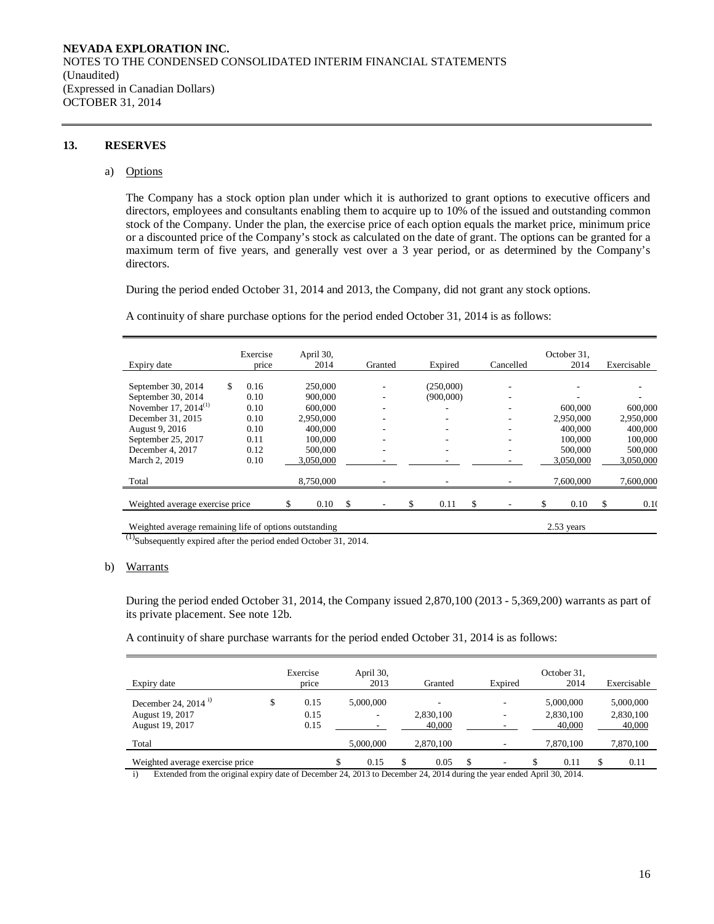#### **13. RESERVES**

#### a) Options

The Company has a stock option plan under which it is authorized to grant options to executive officers and directors, employees and consultants enabling them to acquire up to 10% of the issued and outstanding common stock of the Company. Under the plan, the exercise price of each option equals the market price, minimum price or a discounted price of the Company's stock as calculated on the date of grant. The options can be granted for a maximum term of five years, and generally vest over a 3 year period, or as determined by the Company's directors.

During the period ended October 31, 2014 and 2013, the Company, did not grant any stock options.

A continuity of share purchase options for the period ended October 31, 2014 is as follows:

|                                                        | Exercise   |   | April 30, |     |                          |                          |           |   | October 31.  |     |             |
|--------------------------------------------------------|------------|---|-----------|-----|--------------------------|--------------------------|-----------|---|--------------|-----|-------------|
| Expiry date                                            | price      |   | 2014      |     | Granted                  | Expired                  | Cancelled |   | 2014         |     | Exercisable |
|                                                        |            |   |           |     |                          |                          |           |   |              |     |             |
| September 30, 2014                                     | \$<br>0.16 |   | 250,000   |     |                          | (250,000)                |           |   |              |     |             |
| September 30, 2014                                     | 0.10       |   | 900,000   |     | ۰                        | (900,000)                |           |   |              |     |             |
| November 17, 2014 <sup>(1)</sup>                       | 0.10       |   | 600,000   |     | ۰                        |                          |           |   | 600,000      |     | 600,000     |
| December 31, 2015                                      | 0.10       |   | 2,950,000 |     | $\overline{\phantom{a}}$ |                          | -         |   | 2,950,000    |     | 2,950,000   |
| August 9, 2016                                         | 0.10       |   | 400,000   |     | -                        |                          |           |   | 400,000      |     | 400,000     |
| September 25, 2017                                     | 0.11       |   | 100,000   |     | ۰                        |                          |           |   | 100,000      |     | 100,000     |
| December 4, 2017                                       | 0.12       |   | 500,000   |     | $\overline{\phantom{a}}$ | $\overline{\phantom{a}}$ | -         |   | 500,000      |     | 500,000     |
| March 2, 2019                                          | 0.10       |   | 3,050,000 |     |                          |                          |           |   | 3,050,000    |     | 3,050,000   |
| Total                                                  |            |   | 8,750,000 |     |                          |                          |           |   | 7,600,000    |     | 7,600,000   |
| Weighted average exercise price                        |            | S | 0.10      | \$. |                          | \$<br>0.11               | \$        | S | 0.10         | \$. | 0.10        |
| Weighted average remaining life of options outstanding |            |   |           |     |                          |                          |           |   | $2.53$ years |     |             |

 $^{(1)}$ Subsequently expired after the period ended October 31, 2014.

#### b) Warrants

During the period ended October 31, 2014, the Company issued 2,870,100 (2013 - 5,369,200) warrants as part of its private placement. See note 12b.

A continuity of share purchase warrants for the period ended October 31, 2014 is as follows:

| Expiry date                                                           | Exercise<br>price          | April 30,<br>2013 | Granted             | Expired  | October 31,<br>2014              | Exercisable                      |
|-----------------------------------------------------------------------|----------------------------|-------------------|---------------------|----------|----------------------------------|----------------------------------|
| December 24, 2014 <sup>1)</sup><br>August 19, 2017<br>August 19, 2017 | \$<br>0.15<br>0.15<br>0.15 | 5,000,000<br>-    | 2,830,100<br>40,000 | ۰.<br>۰. | 5,000,000<br>2,830,100<br>40,000 | 5,000,000<br>2,830,100<br>40,000 |
| Total                                                                 |                            | 5,000,000         | 2,870,100           | -        | 7.870.100                        | 7,870,100                        |
| Weighted average exercise price                                       |                            | 0.15              | 0.05                | \$<br>۰. | 0.11                             | 0.11                             |

i) Extended from the original expiry date of December 24, 2013 to December 24, 2014 during the year ended April 30, 2014.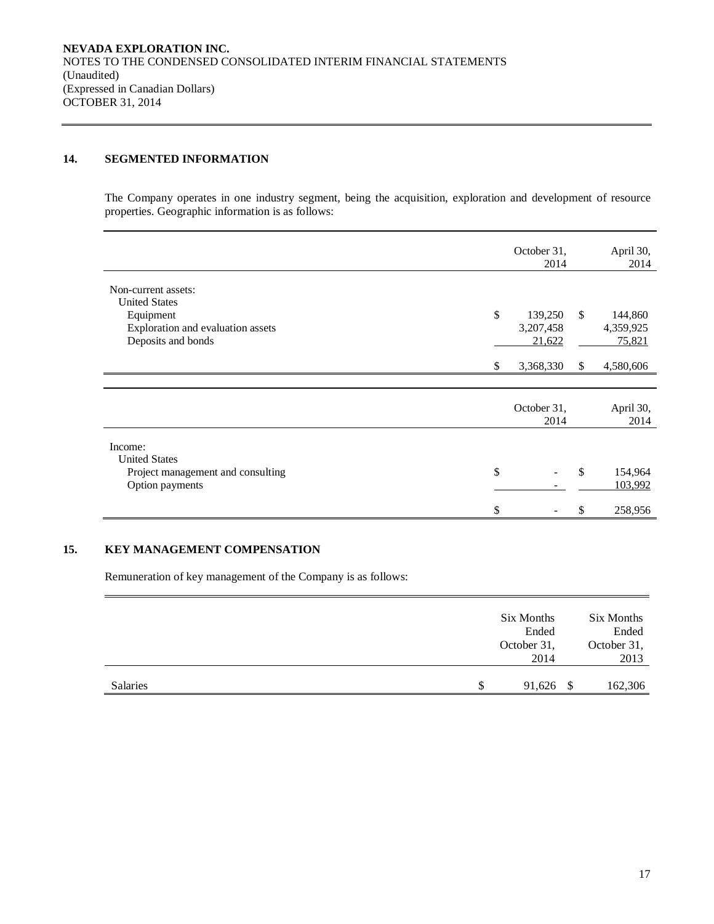## **14. SEGMENTED INFORMATION**

The Company operates in one industry segment, being the acquisition, exploration and development of resource properties. Geographic information is as follows:

|                                   |    | October 31,<br>2014 |              | April 30,<br>2014 |
|-----------------------------------|----|---------------------|--------------|-------------------|
| Non-current assets:               |    |                     |              |                   |
| <b>United States</b><br>Equipment | \$ | 139,250             | \$           | 144,860           |
| Exploration and evaluation assets |    | 3,207,458           |              | 4,359,925         |
| Deposits and bonds                |    | 21,622              |              | 75,821            |
|                                   | S. | 3,368,330           | $\mathbb{S}$ | 4,580,606         |
|                                   |    |                     |              |                   |
|                                   |    | October 31,<br>2014 |              | April 30,<br>2014 |
| Income:                           |    |                     |              |                   |
| <b>United States</b>              |    |                     |              |                   |
| Project management and consulting | \$ |                     | \$           | 154,964           |
| Option payments                   |    |                     |              | 103,992           |
|                                   | \$ |                     |              | 258,956           |

## **15. KEY MANAGEMENT COMPENSATION**

Remuneration of key management of the Company is as follows:

|          |   | Six Months<br>Ended<br>October 31,<br>2014 |      | Six Months<br>Ended<br>October 31,<br>2013 |
|----------|---|--------------------------------------------|------|--------------------------------------------|
| Salaries | S | 91,626                                     | - \$ | 162,306                                    |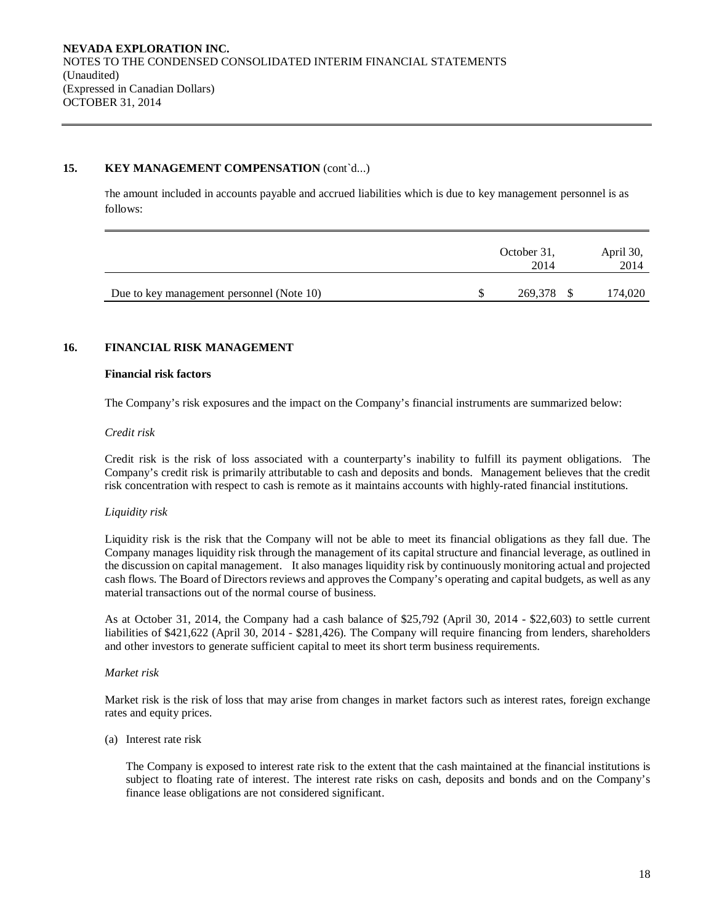## **15. KEY MANAGEMENT COMPENSATION** (cont`d...)

The amount included in accounts payable and accrued liabilities which is due to key management personnel is as follows:

|                                           | October 31,<br>2014 | April 30,<br>2014 |
|-------------------------------------------|---------------------|-------------------|
| Due to key management personnel (Note 10) | 269,378 \$          | 174,020           |

## **16. FINANCIAL RISK MANAGEMENT**

#### **Financial risk factors**

The Company's risk exposures and the impact on the Company's financial instruments are summarized below:

#### *Credit risk*

Credit risk is the risk of loss associated with a counterparty's inability to fulfill its payment obligations. The Company's credit risk is primarily attributable to cash and deposits and bonds. Management believes that the credit risk concentration with respect to cash is remote as it maintains accounts with highly-rated financial institutions.

#### *Liquidity risk*

Liquidity risk is the risk that the Company will not be able to meet its financial obligations as they fall due. The Company manages liquidity risk through the management of its capital structure and financial leverage, as outlined in the discussion on capital management. It also manages liquidity risk by continuously monitoring actual and projected cash flows. The Board of Directors reviews and approves the Company's operating and capital budgets, as well as any material transactions out of the normal course of business.

As at October 31, 2014, the Company had a cash balance of \$25,792 (April 30, 2014 - \$22,603) to settle current liabilities of \$421,622 (April 30, 2014 - \$281,426). The Company will require financing from lenders, shareholders and other investors to generate sufficient capital to meet its short term business requirements.

## *Market risk*

Market risk is the risk of loss that may arise from changes in market factors such as interest rates, foreign exchange rates and equity prices.

#### (a) Interest rate risk

The Company is exposed to interest rate risk to the extent that the cash maintained at the financial institutions is subject to floating rate of interest. The interest rate risks on cash, deposits and bonds and on the Company's finance lease obligations are not considered significant.